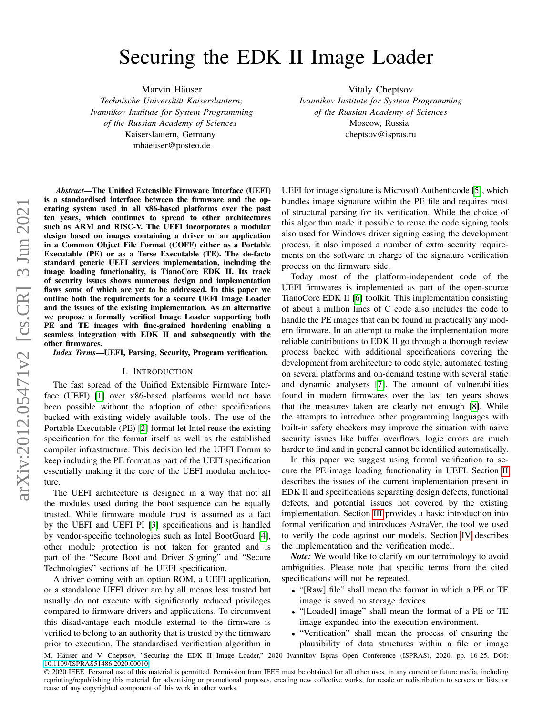# Securing the EDK II Image Loader

Marvin Häuser

*Technische Universitat Kaiserslautern; ¨ Ivannikov Institute for System Programming of the Russian Academy of Sciences* Kaiserslautern, Germany mhaeuser@posteo.de

Vitaly Cheptsov *Ivannikov Institute for System Programming of the Russian Academy of Sciences* Moscow, Russia cheptsov@ispras.ru

*Abstract*—The Unified Extensible Firmware Interface (UEFI) is a standardised interface between the firmware and the operating system used in all x86-based platforms over the past ten years, which continues to spread to other architectures such as ARM and RISC-V. The UEFI incorporates a modular design based on images containing a driver or an application in a Common Object File Format (COFF) either as a Portable Executable (PE) or as a Terse Executable (TE). The de-facto standard generic UEFI services implementation, including the image loading functionality, is TianoCore EDK II. Its track of security issues shows numerous design and implementation flaws some of which are yet to be addressed. In this paper we outline both the requirements for a secure UEFI Image Loader and the issues of the existing implementation. As an alternative we propose a formally verified Image Loader supporting both PE and TE images with fine-grained hardening enabling a seamless integration with EDK II and subsequently with the other firmwares.

*Index Terms*—UEFI, Parsing, Security, Program verification.

#### I. INTRODUCTION

The fast spread of the Unified Extensible Firmware Interface (UEFI) [\[1\]](#page-9-0) over x86-based platforms would not have been possible without the adoption of other specifications backed with existing widely available tools. The use of the Portable Executable (PE) [\[2\]](#page-9-1) format let Intel reuse the existing specification for the format itself as well as the established compiler infrastructure. This decision led the UEFI Forum to keep including the PE format as part of the UEFI specification essentially making it the core of the UEFI modular architecture.

The UEFI architecture is designed in a way that not all the modules used during the boot sequence can be equally trusted. While firmware module trust is assumed as a fact by the UEFI and UEFI PI [\[3\]](#page-9-2) specifications and is handled by vendor-specific technologies such as Intel BootGuard [\[4\]](#page-9-3), other module protection is not taken for granted and is part of the "Secure Boot and Driver Signing" and "Secure Technologies" sections of the UEFI specification.

A driver coming with an option ROM, a UEFI application, or a standalone UEFI driver are by all means less trusted but usually do not execute with significantly reduced privileges compared to firmware drivers and applications. To circumvent this disadvantage each module external to the firmware is verified to belong to an authority that is trusted by the firmware prior to execution. The standardised verification algorithm in UEFI for image signature is Microsoft Authenticode [\[5\]](#page-9-4), which bundles image signature within the PE file and requires most of structural parsing for its verification. While the choice of this algorithm made it possible to reuse the code signing tools also used for Windows driver signing easing the development process, it also imposed a number of extra security requirements on the software in charge of the signature verification process on the firmware side.

Today most of the platform-independent code of the UEFI firmwares is implemented as part of the open-source TianoCore EDK II [\[6\]](#page-9-5) toolkit. This implementation consisting of about a million lines of C code also includes the code to handle the PE images that can be found in practically any modern firmware. In an attempt to make the implementation more reliable contributions to EDK II go through a thorough review process backed with additional specifications covering the development from architecture to code style, automated testing on several platforms and on-demand testing with several static and dynamic analysers [\[7\]](#page-9-6). The amount of vulnerabilities found in modern firmwares over the last ten years shows that the measures taken are clearly not enough [\[8\]](#page-9-7). While the attempts to introduce other programming languages with built-in safety checkers may improve the situation with naive security issues like buffer overflows, logic errors are much harder to find and in general cannot be identified automatically.

In this paper we suggest using formal verification to secure the PE image loading functionality in UEFI. Section [II](#page-1-0) describes the issues of the current implementation present in EDK II and specifications separating design defects, functional defects, and potential issues not covered by the existing implementation. Section [III](#page-4-0) provides a basic introduction into formal verification and introduces AstraVer, the tool we used to verify the code against our models. Section [IV](#page-5-0) describes the implementation and the verification model.

*Note:* We would like to clarify on our terminology to avoid ambiguities. Please note that specific terms from the cited specifications will not be repeated.

- "[Raw] file" shall mean the format in which a PE or TE image is saved on storage devices.
- "[Loaded] image" shall mean the format of a PE or TE image expanded into the execution environment.
- "Verification" shall mean the process of ensuring the plausibility of data structures within a file or image

M. Häuser and V. Cheptsov, "Securing the EDK II Image Loader," 2020 Ivannikov Ispras Open Conference (ISPRAS), 2020, pp. 16-25, DOI: [10.1109/ISPRAS51486.2020.00010.](https://doi.org/10.1109/ISPRAS51486.2020.00010)

<sup>© 2020</sup> IEEE. Personal use of this material is permitted. Permission from IEEE must be obtained for all other uses, in any current or future media, including reprinting/republishing this material for advertising or promotional purposes, creating new collective works, for resale or redistribution to servers or lists, or reuse of any copyrighted component of this work in other works.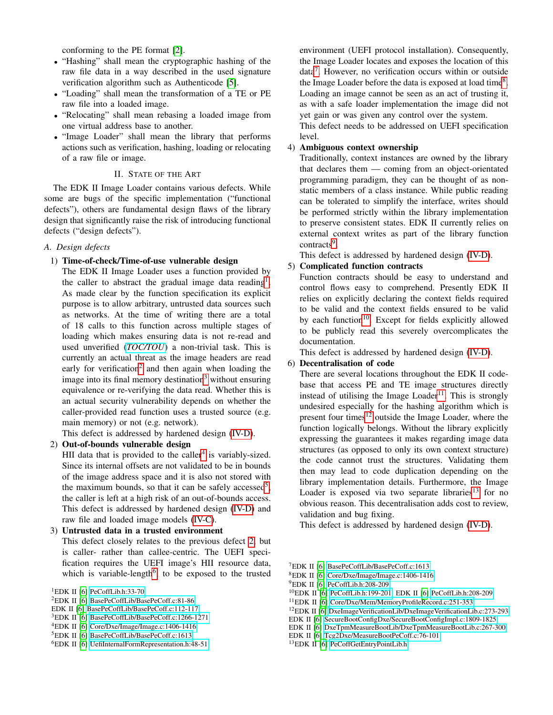conforming to the PE format [\[2\]](#page-9-1).

- "Hashing" shall mean the cryptographic hashing of the raw file data in a way described in the used signature verification algorithm such as Authenticode [\[5\]](#page-9-4).
- "Loading" shall mean the transformation of a TE or PE raw file into a loaded image.
- "Relocating" shall mean rebasing a loaded image from one virtual address base to another.
- "Image Loader" shall mean the library that performs actions such as verification, hashing, loading or relocating of a raw file or image.

#### II. STATE OF THE ART

<span id="page-1-0"></span>The EDK II Image Loader contains various defects. While some are bugs of the specific implementation ("functional defects"), others are fundamental design flaws of the library design that significantly raise the risk of introducing functional defects ("design defects").

## *A. Design defects*

## <span id="page-1-15"></span>1) Time-of-check/Time-of-use vulnerable design

The EDK II Image Loader uses a function provided by the caller to abstract the gradual image data reading<sup>[1](#page-1-1)</sup>. As made clear by the function specification its explicit purpose is to allow arbitrary, untrusted data sources such as networks. At the time of writing there are a total of 18 calls to this function across multiple stages of loading which makes ensuring data is not re-read and used unverified (*[TOC/TOU](https://cwe.mitre.org/data/definitions/367.html)*) a non-trivial task. This is currently an actual threat as the image headers are read early for verification<sup>[2](#page-1-2)</sup> and then again when loading the image into its final memory destination<sup>[3](#page-1-3)</sup> without ensuring equivalence or re-verifying the data read. Whether this is an actual security vulnerability depends on whether the caller-provided read function uses a trusted source (e.g. main memory) or not (e.g. network).

This defect is addressed by hardened design [\(IV-D\)](#page-8-0).

## <span id="page-1-6"></span>2) Out-of-bounds vulnerable design

HII data that is provided to the caller<sup>[4](#page-1-4)</sup> is variably-sized. Since its internal offsets are not validated to be in bounds of the image address space and it is also not stored with the maximum bounds, so that it can be safely accessed<sup>[5](#page-1-5)</sup>, the caller is left at a high risk of an out-of-bounds access. This defect is addressed by hardened design [\(IV-D\)](#page-8-0) and raw file and loaded image models [\(IV-C\)](#page-6-0).

#### 3) Untrusted data in a trusted environment

This defect closely relates to the previous defect [2,](#page-1-6) but is caller- rather than callee-centric. The UEFI specification requires the UEFI image's HII resource data, which is variable-length<sup>[6](#page-1-7)</sup>, to be exposed to the trusted

<span id="page-1-1"></span><sup>1</sup>EDK II [\[6\]](#page-9-5) [PeCoffLib.h:33-70](https://github.com/tianocore/edk2/blob/6c8dd15c4ae42501438a525ec41299f365f223cb/MdePkg/Include/Library/PeCoffLib.h#L33-L70)

EDK II [\[6\]](#page-9-5) [BasePeCoffLib/BasePeCoff.c:112-117](https://github.com/tianocore/edk2/blob/6c8dd15c4ae42501438a525ec41299f365f223cb/MdePkg/Library/BasePeCoffLib/BasePeCoff.c#L112-L117)

environment (UEFI protocol installation). Consequently, the Image Loader locates and exposes the location of this data[7](#page-1-8) . However, no verification occurs within or outside the Image Loader before the data is exposed at load time $8$ . Loading an image cannot be seen as an act of trusting it, as with a safe loader implementation the image did not yet gain or was given any control over the system.

This defect needs to be addressed on UEFI specification level.

## <span id="page-1-18"></span>4) Ambiguous context ownership

Traditionally, context instances are owned by the library that declares them — coming from an object-orientated programming paradigm, they can be thought of as nonstatic members of a class instance. While public reading can be tolerated to simplify the interface, writes should be performed strictly within the library implementation to preserve consistent states. EDK II currently relies on external context writes as part of the library function contracts<sup>[9](#page-1-10)</sup>.

This defect is addressed by hardened design [\(IV-D\)](#page-8-0).

#### <span id="page-1-17"></span>5) Complicated function contracts

Function contracts should be easy to understand and control flows easy to comprehend. Presently EDK II relies on explicitly declaring the context fields required to be valid and the context fields ensured to be valid by each function<sup>[10](#page-1-11)</sup>. Except for fields explicitly allowed to be publicly read this severely overcomplicates the documentation.

This defect is addressed by hardened design [\(IV-D\)](#page-8-0).

## <span id="page-1-16"></span>6) Decentralisation of code

There are several locations throughout the EDK II codebase that access PE and TE image structures directly instead of utilising the Image Loader<sup>[11](#page-1-12)</sup>. This is strongly undesired especially for the hashing algorithm which is present four times $12$  outside the Image Loader, where the function logically belongs. Without the library explicitly expressing the guarantees it makes regarding image data structures (as opposed to only its own context structure) the code cannot trust the structures. Validating them then may lead to code duplication depending on the library implementation details. Furthermore, the Image Loader is exposed via two separate libraries<sup>[13](#page-1-14)</sup> for no obvious reason. This decentralisation adds cost to review, validation and bug fixing.

This defect is addressed by hardened design [\(IV-D\)](#page-8-0).

<span id="page-1-9"></span><sup>8</sup>EDK II [\[6\]](#page-9-5) [Core/Dxe/Image/Image.c:1406-1416](https://github.com/tianocore/edk2/blob/6c8dd15c4ae42501438a525ec41299f365f223cb/MdeModulePkg/Core/Dxe/Image/Image.c#L1406-L1416)

<span id="page-1-11"></span><sup>10</sup>EDK II [\[6\]](#page-9-5) [PeCoffLib.h:199-201,](https://github.com/tianocore/edk2/blob/6c8dd15c4ae42501438a525ec41299f365f223cb/MdePkg/Include/Library/PeCoffLib.h#L199-L201) EDK II [\[6\]](#page-9-5) [PeCoffLib.h:208-209](https://github.com/tianocore/edk2/blob/6c8dd15c4ae42501438a525ec41299f365f223cb/MdePkg/Include/Library/PeCoffLib.h#L208-L209)

<span id="page-1-2"></span><sup>2</sup>EDK II [\[6\]](#page-9-5) [BasePeCoffLib/BasePeCoff.c:81-86](https://github.com/tianocore/edk2/blob/6c8dd15c4ae42501438a525ec41299f365f223cb/MdePkg/Library/BasePeCoffLib/BasePeCoff.c#L81-L86)

<span id="page-1-3"></span><sup>3</sup>EDK II [\[6\]](#page-9-5) [BasePeCoffLib/BasePeCoff.c:1266-1271](https://github.com/tianocore/edk2/blob/6c8dd15c4ae42501438a525ec41299f365f223cb/MdePkg/Library/BasePeCoffLib/BasePeCoff.c#L1266-L1271)

<span id="page-1-4"></span><sup>4</sup>EDK II [\[6\]](#page-9-5) [Core/Dxe/Image/Image.c:1406-1416](https://github.com/tianocore/edk2/blob/6c8dd15c4ae42501438a525ec41299f365f223cb/MdeModulePkg/Core/Dxe/Image/Image.c#L1406-L1416)

<span id="page-1-5"></span><sup>5</sup>EDK II [\[6\]](#page-9-5) [BasePeCoffLib/BasePeCoff.c:1613](https://github.com/tianocore/edk2/blob/6c8dd15c4ae42501438a525ec41299f365f223cb/MdePkg/Library/BasePeCoffLib/BasePeCoff.c#L1613)

<span id="page-1-7"></span><sup>6</sup>EDK II [\[6\]](#page-9-5) [UefiInternalFormRepresentation.h:48-51](https://github.com/tianocore/edk2/blob/6c8dd15c4ae42501438a525ec41299f365f223cb/MdePkg/Include/Uefi/UefiInternalFormRepresentation.h#L48-L51)

<span id="page-1-8"></span><sup>7</sup>EDK II [\[6\]](#page-9-5) [BasePeCoffLib/BasePeCoff.c:1613](https://github.com/tianocore/edk2/blob/6c8dd15c4ae42501438a525ec41299f365f223cb/MdePkg/Library/BasePeCoffLib/BasePeCoff.c#L1613)

<span id="page-1-10"></span><sup>9</sup>EDK II [\[6\]](#page-9-5) [PeCoffLib.h:208-209](https://github.com/tianocore/edk2/blob/6c8dd15c4ae42501438a525ec41299f365f223cb/MdePkg/Include/Library/PeCoffLib.h#L208-L209)

<span id="page-1-12"></span><sup>11</sup>EDK II [\[6\]](#page-9-5) [Core/Dxe/Mem/MemoryProfileRecord.c:251-353](https://github.com/tianocore/edk2/blob/6c8dd15c4ae42501438a525ec41299f365f223cb/MdeModulePkg/Core/Dxe/Mem/MemoryProfileRecord.c#L251-L353)

<span id="page-1-13"></span><sup>12</sup>EDK II [\[6\]](#page-9-5) [DxeImageVerificationLib/DxeImageVerificationLib.c:273-293](https://github.com/tianocore/edk2/blob/6c8dd15c4ae42501438a525ec41299f365f223cb/SecurityPkg/Library/DxeImageVerificationLib/DxeImageVerificationLib.c#L273-L293)

EDK II [\[6\]](#page-9-5) [SecureBootConfigDxe/SecureBootConfigImpl.c:1809-1825](https://github.com/tianocore/edk2/blob/6c8dd15c4ae42501438a525ec41299f365f223cb/SecurityPkg/VariableAuthenticated/SecureBootConfigDxe/SecureBootConfigImpl.c#L1809-L1825)

EDK II [\[6\]](#page-9-5) [DxeTpmMeasureBootLib/DxeTpmMeasureBootLib.c:267-300](https://github.com/tianocore/edk2/blob/6c8dd15c4ae42501438a525ec41299f365f223cb/SecurityPkg/Library/DxeTpmMeasureBootLib/DxeTpmMeasureBootLib.c#L267-L300)

EDK II [\[6\]](#page-9-5) [Tcg2Dxe/MeasureBootPeCoff.c:76-101](https://github.com/tianocore/edk2/blob/6c8dd15c4ae42501438a525ec41299f365f223cb/SecurityPkg/Tcg/Tcg2Dxe/MeasureBootPeCoff.c#L76-L101)

<span id="page-1-14"></span><sup>13</sup>EDK II [\[6\]](#page-9-5) [PeCoffGetEntryPointLib.h](https://github.com/tianocore/edk2/blob/6c8dd15c4ae42501438a525ec41299f365f223cb/MdePkg/Include/Library/PeCoffGetEntryPointLib.h)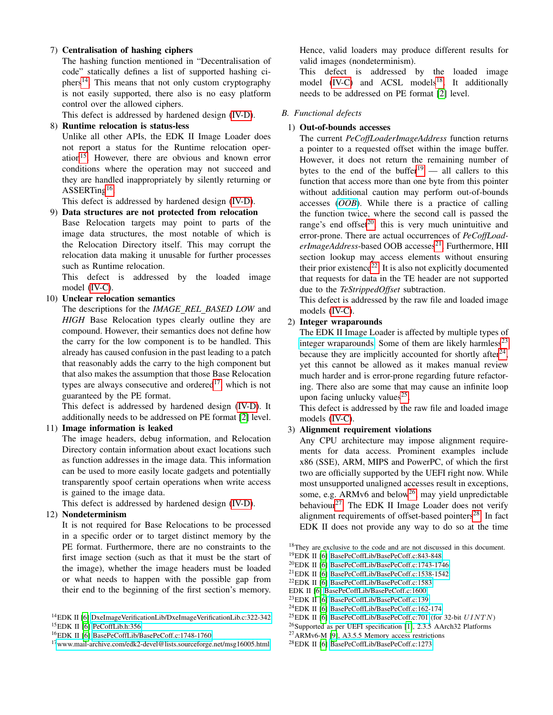# <span id="page-2-17"></span>7) Centralisation of hashing ciphers

The hashing function mentioned in "Decentralisation of code" statically defines a list of supported hashing ci- $phers<sup>14</sup>$  $phers<sup>14</sup>$  $phers<sup>14</sup>$ . This means that not only custom cryptography is not easily supported, there also is no easy platform control over the allowed ciphers.

This defect is addressed by hardened design [\(IV-D\)](#page-8-0).

## <span id="page-2-20"></span>8) Runtime relocation is status-less

Unlike all other APIs, the EDK II Image Loader does not report a status for the Runtime relocation oper-ation<sup>[15](#page-2-1)</sup>. However, there are obvious and known error conditions where the operation may not succeed and they are handled inappropriately by silently returning or ASSERTing<sup>[16](#page-2-2)</sup>.

This defect is addressed by hardened design [\(IV-D\)](#page-8-0).

<span id="page-2-16"></span>9) Data structures are not protected from relocation Base Relocation targets may point to parts of the

image data structures, the most notable of which is the Relocation Directory itself. This may corrupt the relocation data making it unusable for further processes such as Runtime relocation.

This defect is addressed by the loaded image model [\(IV-C\)](#page-6-0).

## <span id="page-2-19"></span>10) Unclear relocation semantics

The descriptions for the *IMAGE REL BASED LOW* and *HIGH* Base Relocation types clearly outline they are compound. However, their semantics does not define how the carry for the low component is to be handled. This already has caused confusion in the past leading to a patch that reasonably adds the carry to the high component but that also makes the assumption that those Base Relocation types are always consecutive and ordered<sup>[17](#page-2-3)</sup>, which is not guaranteed by the PE format.

This defect is addressed by hardened design [\(IV-D\)](#page-8-0). It additionally needs to be addressed on PE format [\[2\]](#page-9-1) level.

# <span id="page-2-18"></span>11) Image information is leaked

The image headers, debug information, and Relocation Directory contain information about exact locations such as function addresses in the image data. This information can be used to more easily locate gadgets and potentially transparently spoof certain operations when write access is gained to the image data.

This defect is addressed by hardened design [\(IV-D\)](#page-8-0).

## <span id="page-2-15"></span>12) Nondeterminism

It is not required for Base Relocations to be processed in a specific order or to target distinct memory by the PE format. Furthermore, there are no constraints to the first image section (such as that it must be the start of the image), whether the image headers must be loaded or what needs to happen with the possible gap from their end to the beginning of the first section's memory. Hence, valid loaders may produce different results for valid images (nondeterminism).

This defect is addressed by the loaded image model  $(IV-C)$  and  $ACSL$  models<sup>[18](#page-2-4)</sup>. It additionally needs to be addressed on PE format [\[2\]](#page-9-1) level.

## *B. Functional defects*

## 1) Out-of-bounds accesses

The current *PeCoffLoaderImageAddress* function returns a pointer to a requested offset within the image buffer. However, it does not return the remaining number of bytes to the end of the buffer<sup>[19](#page-2-5)</sup> — all callers to this function that access more than one byte from this pointer without additional caution may perform out-of-bounds accesses (*[OOB](https://cwe.mitre.org/data/definitions/125.html)*). While there is a practice of calling the function twice, where the second call is passed the range's end offset $20$ , this is very much unintuitive and error-prone. There are actual occurrences of *PeCoffLoaderImageAddress*-based OOB accesses<sup>[21](#page-2-7)</sup>. Furthermore, HII section lookup may access elements without ensuring their prior existence<sup>[22](#page-2-8)</sup>. It is also not explicitly documented that requests for data in the TE header are not supported due to the *TeStrippedOffset* subtraction.

This defect is addressed by the raw file and loaded image models [\(IV-C\)](#page-6-0).

## 2) Integer wraparounds

The EDK II Image Loader is affected by multiple types of [integer wraparounds.](https://cwe.mitre.org/data/definitions/190.html) Some of them are likely harmless<sup>[23](#page-2-9)</sup> because they are implicitly accounted for shortly after $^{24}$  $^{24}$  $^{24}$ , yet this cannot be allowed as it makes manual review much harder and is error-prone regarding future refactoring. There also are some that may cause an infinite loop upon facing unlucky values<sup>[25](#page-2-11)</sup>.

This defect is addressed by the raw file and loaded image models [\(IV-C\)](#page-6-0).

# 3) Alignment requirement violations

Any CPU architecture may impose alignment requirements for data access. Prominent examples include x86 (SSE), ARM, MIPS and PowerPC, of which the first two are officially supported by the UEFI right now. While most unsupported unaligned accesses result in exceptions, some, e.g.  $ARMv6$  and below<sup>[26](#page-2-12)</sup>, may yield unpredictable behaviour<sup>[27](#page-2-13)</sup>. The EDK II Image Loader does not verify alignment requirements of offset-based pointers $^{28}$  $^{28}$  $^{28}$ . In fact EDK II does not provide any way to do so at the time

<span id="page-2-4"></span><sup>18</sup>They are exclusive to the code and are not discussed in this document.

<span id="page-2-6"></span><sup>20</sup>EDK II [\[6\]](#page-9-5) [BasePeCoffLib/BasePeCoff.c:1743-1746](https://github.com/tianocore/edk2/blob/6c8dd15c4ae42501438a525ec41299f365f223cb/MdePkg/Library/BasePeCoffLib/BasePeCoff.c#L1743-L1746)

- <span id="page-2-8"></span><sup>22</sup>EDK II [\[6\]](#page-9-5) [BasePeCoffLib/BasePeCoff.c:1583](https://github.com/tianocore/edk2/blob/6c8dd15c4ae42501438a525ec41299f365f223cb/MdePkg/Library/BasePeCoffLib/BasePeCoff.c#L1583)
- EDK II [\[6\]](#page-9-5) [BasePeCoffLib/BasePeCoff.c:1600](https://github.com/tianocore/edk2/blob/6c8dd15c4ae42501438a525ec41299f365f223cb/MdePkg/Library/BasePeCoffLib/BasePeCoff.c#L1600)
- <span id="page-2-9"></span><sup>23</sup>EDK II [\[6\]](#page-9-5) [BasePeCoffLib/BasePeCoff.c:139](https://github.com/tianocore/edk2/blob/6c8dd15c4ae42501438a525ec41299f365f223cb/MdePkg/Library/BasePeCoffLib/BasePeCoff.c#L139)
- <span id="page-2-10"></span><sup>24</sup>EDK II [\[6\]](#page-9-5) [BasePeCoffLib/BasePeCoff.c:162-174](https://github.com/tianocore/edk2/blob/6c8dd15c4ae42501438a525ec41299f365f223cb/MdePkg/Library/BasePeCoffLib/BasePeCoff.c#L162-L174)
- <span id="page-2-11"></span><sup>25</sup>EDK II [\[6\]](#page-9-5) [BasePeCoffLib/BasePeCoff.c:701](https://github.com/tianocore/edk2/blob/6c8dd15c4ae42501438a525ec41299f365f223cb/MdePkg/Library/BasePeCoffLib/BasePeCoff.c#L701) (for 32-bit  $UINTN$ )

<span id="page-2-13"></span><sup>27</sup>ARMv6-M [\[9\]](#page-9-8), A3.5.5 Memory access restrictions

<span id="page-2-1"></span><span id="page-2-0"></span><sup>14</sup>EDK II [\[6\]](#page-9-5) [DxeImageVerificationLib/DxeImageVerificationLib.c:322-342](https://github.com/tianocore/edk2/blob/6c8dd15c4ae42501438a525ec41299f365f223cb/SecurityPkg/Library/DxeImageVerificationLib/DxeImageVerificationLib.c#L322-L342) <sup>15</sup>EDK II [\[6\]](#page-9-5) [PeCoffLib.h:356](https://github.com/tianocore/edk2/blob/6c8dd15c4ae42501438a525ec41299f365f223cb/MdePkg/Include/Library/PeCoffLib.h#L356)

<span id="page-2-2"></span><sup>16</sup>EDK II [\[6\]](#page-9-5) [BasePeCoffLib/BasePeCoff.c:1748-1760](https://github.com/tianocore/edk2/blob/6c8dd15c4ae42501438a525ec41299f365f223cb/MdePkg/Library/BasePeCoffLib/BasePeCoff.c#L1748-L1760)

<span id="page-2-3"></span><sup>17</sup>[www.mail-archive.com/edk2-devel@lists.sourceforge.net/msg16005.html](https://www.mail-archive.com/edk2-devel@lists.sourceforge.net/msg16005.html)

<span id="page-2-5"></span><sup>19</sup>EDK II [\[6\]](#page-9-5) [BasePeCoffLib/BasePeCoff.c:843-848](https://github.com/tianocore/edk2/blob/6c8dd15c4ae42501438a525ec41299f365f223cb/MdePkg/Library/BasePeCoffLib/BasePeCoff.c#L843-L848)

<span id="page-2-7"></span><sup>21</sup>EDK II [\[6\]](#page-9-5) [BasePeCoffLib/BasePeCoff.c:1538-1542](https://github.com/tianocore/edk2/blob/6c8dd15c4ae42501438a525ec41299f365f223cb/MdePkg/Library/BasePeCoffLib/BasePeCoff.c#L1538-L1542)

<span id="page-2-12"></span><sup>26</sup>Supported as per UEFI specification [\[1\]](#page-9-0), 2.3.5 AArch32 Platforms

<span id="page-2-14"></span><sup>28</sup>EDK II [\[6\]](#page-9-5) [BasePeCoffLib/BasePeCoff.c:1273](https://github.com/tianocore/edk2/blob/6c8dd15c4ae42501438a525ec41299f365f223cb/MdePkg/Library/BasePeCoffLib/BasePeCoff.c#L1273)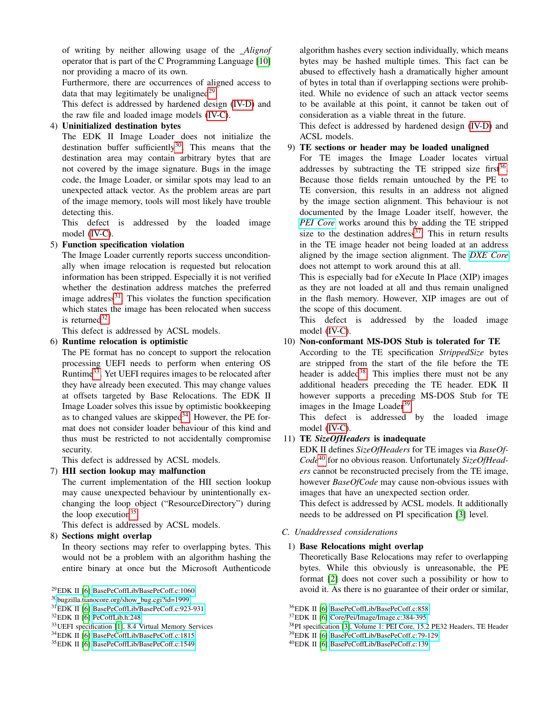of writing by neither allowing usage of the *Alignof* operator that is part of the C Programming Language [\[10\]](#page-9-9) nor providing a macro of its own.

Furthermore, there are occurrences of aligned access to data that may legitimately be unaligned $2^9$ .

This defect is addressed by hardened design [\(IV-D\)](#page-8-0) and the raw file and loaded image models [\(IV-C\)](#page-6-0).

# 4) Uninitialized destination bytes

The EDK II Image Loader does not initialize the destination buffer sufficiently $30$ . This means that the destination area may contain arbitrary bytes that are not covered by the image signature. Bugs in the image code, the Image Loader, or similar spots may lead to an unexpected attack vector. As the problem areas are part of the image memory, tools will most likely have trouble detecting this.

This defect is addressed by the loaded image model [\(IV-C\)](#page-6-0).

# 5) Function specification violation

The Image Loader currently reports success unconditionally when image relocation is requested but relocation information has been stripped. Especially it is not verified whether the destination address matches the preferred image address $31$ . This violates the function specification which states the image has been relocated when success is returned $32$ .

This defect is addressed by ACSL models.

# 6) Runtime relocation is optimistic

The PE format has no concept to support the relocation processing UEFI needs to perform when entering OS Runtime<sup>[33](#page-3-4)</sup>. Yet UEFI requires images to be relocated after they have already been executed. This may change values at offsets targeted by Base Relocations. The EDK II Image Loader solves this issue by optimistic bookkeeping as to changed values are skipped<sup>[34](#page-3-5)</sup>. However, the PE format does not consider loader behaviour of this kind and thus must be restricted to not accidentally compromise security.

This defect is addressed by ACSL models.

# 7) HII section lookup may malfunction

The current implementation of the HII section lookup may cause unexpected behaviour by unintentionally exchanging the loop object ("ResourceDirectory") during the loop execution<sup>[35](#page-3-6)</sup>.

This defect is addressed by ACSL models.

# <span id="page-3-12"></span>8) Sections might overlap

In theory sections may refer to overlapping bytes. This would not be a problem with an algorithm hashing the entire binary at once but the Microsoft Authenticode

<span id="page-3-0"></span><sup>29</sup>EDK II [\[6\]](#page-9-5) [BasePeCoffLib/BasePeCoff.c:1060](https://github.com/tianocore/edk2/blob/6c8dd15c4ae42501438a525ec41299f365f223cb/MdePkg/Library/BasePeCoffLib/BasePeCoff.c#L1060)

algorithm hashes every section individually, which means bytes may be hashed multiple times. This fact can be abused to effectively hash a dramatically higher amount of bytes in total than if overlapping sections were prohibited. While no evidence of such an attack vector seems to be available at this point, it cannot be taken out of consideration as a viable threat in the future.

This defect is addressed by hardened design [\(IV-D\)](#page-8-0) and ACSL models.

## 9) TE sections or header may be loaded unaligned

For TE images the Image Loader locates virtual addresses by subtracting the TE stripped size first<sup>[36](#page-3-7)</sup>. Because those fields remain untouched by the PE to TE conversion, this results in an address not aligned by the image section alignment. This behaviour is not documented by the Image Loader itself, however, the *[PEI Core](https://github.com/tianocore/edk2/tree/6c8dd15c4ae42501438a525ec41299f365f223cb/MdeModulePkg/Core/Pei)* works around this by adding the TE stripped size to the destination address<sup>[37](#page-3-8)</sup>. This in return results in the TE image header not being loaded at an address aligned by the image section alignment. The *[DXE Core](https://github.com/tianocore/edk2/tree/6c8dd15c4ae42501438a525ec41299f365f223cb/MdeModulePkg/Core/Dxe)* does not attempt to work around this at all.

This is especially bad for eXecute In Place (XIP) images as they are not loaded at all and thus remain unaligned in the flash memory. However, XIP images are out of the scope of this document.

This defect is addressed by the loaded image model [\(IV-C\)](#page-6-0).

# 10) Non-conformant MS-DOS Stub is tolerated for TE

According to the TE specification *StrippedSize* bytes are stripped from the start of the file before the TE header is added<sup>[38](#page-3-9)</sup>. This implies there must not be any additional headers preceding the TE header. EDK II however supports a preceding MS-DOS Stub for TE images in the Image Loader<sup>[39](#page-3-10)</sup>.

This defect is addressed by the loaded image model [\(IV-C\)](#page-6-0).

# 11) TE *SizeOfHeaders* is inadequate

EDK II defines *SizeOfHeaders* for TE images via *BaseOf-Code*[40](#page-3-11) for no obvious reason. Unfortunately *SizeOfHeaders* cannot be reconstructed precisely from the TE image, however *BaseOfCode* may cause non-obvious issues with images that have an unexpected section order. This defect is addressed by ACSL models. It additionally

needs to be addressed on PI specification [\[3\]](#page-9-2) level.

# *C. Unaddressed considerations*

# 1) Base Relocations might overlap

Theoretically Base Relocations may refer to overlapping bytes. While this obviously is unreasonable, the PE format [\[2\]](#page-9-1) does not cover such a possibility or how to avoid it. As there is no guarantee of their order or similar,

<span id="page-3-1"></span><sup>30</sup>[bugzilla.tianocore.org/show](https://bugzilla.tianocore.org/show_bug.cgi?id=1999)\_bug.cgi?id=1999

<span id="page-3-2"></span><sup>31</sup>EDK II [\[6\]](#page-9-5) [BasePeCoffLib/BasePeCoff.c:923-931](https://github.com/tianocore/edk2/blob/6c8dd15c4ae42501438a525ec41299f365f223cb/MdePkg/Library/BasePeCoffLib/BasePeCoff.c#L923-L931)

<span id="page-3-3"></span><sup>32</sup>EDK II [\[6\]](#page-9-5) [PeCoffLib.h:248](https://github.com/tianocore/edk2/blob/6c8dd15c4ae42501438a525ec41299f365f223cb/MdePkg/Include/Library/PeCoffLib.h#L248)

<span id="page-3-4"></span><sup>33</sup>UEFI specification [\[1\]](#page-9-0), 8.4 Virtual Memory Services

<span id="page-3-5"></span><sup>34</sup>EDK II [\[6\]](#page-9-5) [BasePeCoffLib/BasePeCoff.c:1815](https://github.com/tianocore/edk2/blob/6c8dd15c4ae42501438a525ec41299f365f223cb/MdePkg/Library/BasePeCoffLib/BasePeCoff.c#L1815)

<span id="page-3-6"></span><sup>35</sup>EDK II [\[6\]](#page-9-5) [BasePeCoffLib/BasePeCoff.c:1549](https://github.com/tianocore/edk2/blob/6c8dd15c4ae42501438a525ec41299f365f223cb/MdePkg/Library/BasePeCoffLib/BasePeCoff.c#L1549)

<span id="page-3-7"></span><sup>36</sup>EDK II [\[6\]](#page-9-5) [BasePeCoffLib/BasePeCoff.c:858](https://github.com/tianocore/edk2/blob/6c8dd15c4ae42501438a525ec41299f365f223cb/MdePkg/Library/BasePeCoffLib/BasePeCoff.c#L858)

<span id="page-3-8"></span><sup>37</sup>EDK II [\[6\]](#page-9-5) [Core/Pei/Image/Image.c:384-395](https://github.com/tianocore/edk2/blob/6c8dd15c4ae42501438a525ec41299f365f223cb/MdeModulePkg/Core/Pei/Image/Image.c#L384-L395)

<span id="page-3-9"></span><sup>38</sup>PI specification [\[3\]](#page-9-2), Volume 1: PEI Core, 15.2 PE32 Headers, TE Header

<span id="page-3-10"></span><sup>39</sup>EDK II [\[6\]](#page-9-5) [BasePeCoffLib/BasePeCoff.c:79-129](https://github.com/tianocore/edk2/blob/6c8dd15c4ae42501438a525ec41299f365f223cb/MdePkg/Library/BasePeCoffLib/BasePeCoff.c#L79-L129)

<span id="page-3-11"></span><sup>40</sup>EDK II [\[6\]](#page-9-5) [BasePeCoffLib/BasePeCoff.c:139](https://github.com/tianocore/edk2/blob/6c8dd15c4ae42501438a525ec41299f365f223cb/MdePkg/Library/BasePeCoffLib/BasePeCoff.c#L139)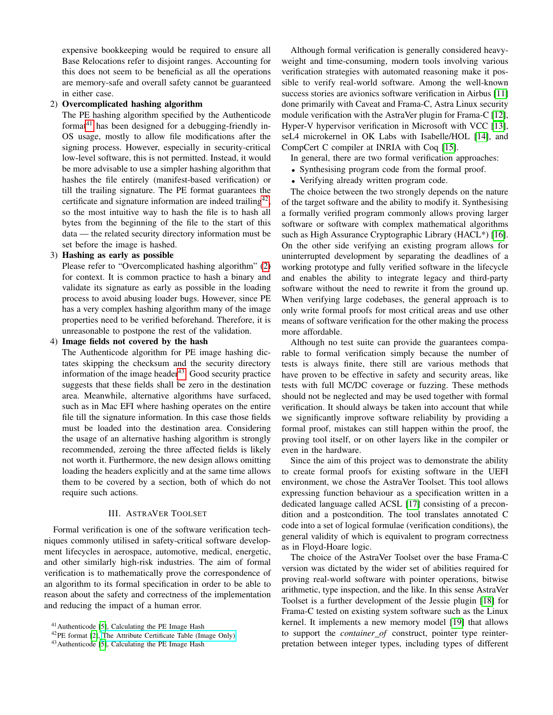expensive bookkeeping would be required to ensure all Base Relocations refer to disjoint ranges. Accounting for this does not seem to be beneficial as all the operations are memory-safe and overall safety cannot be guaranteed in either case.

#### <span id="page-4-3"></span>2) Overcomplicated hashing algorithm

The PE hashing algorithm specified by the Authenticode format<sup>[41](#page-4-1)</sup> has been designed for a debugging-friendly in-OS usage, mostly to allow file modifications after the signing process. However, especially in security-critical low-level software, this is not permitted. Instead, it would be more advisable to use a simpler hashing algorithm that hashes the file entirely (manifest-based verification) or till the trailing signature. The PE format guarantees the certificate and signature information are indeed trailing<sup>[42](#page-4-2)</sup>, so the most intuitive way to hash the file is to hash all bytes from the beginning of the file to the start of this data — the related security directory information must be set before the image is hashed.

#### 3) Hashing as early as possible

Please refer to "Overcomplicated hashing algorithm" [\(2\)](#page-4-3) for context. It is common practice to hash a binary and validate its signature as early as possible in the loading process to avoid abusing loader bugs. However, since PE has a very complex hashing algorithm many of the image properties need to be verified beforehand. Therefore, it is unreasonable to postpone the rest of the validation.

#### 4) Image fields not covered by the hash

The Authenticode algorithm for PE image hashing dictates skipping the checksum and the security directory information of the image header $43$ . Good security practice suggests that these fields shall be zero in the destination area. Meanwhile, alternative algorithms have surfaced, such as in Mac EFI where hashing operates on the entire file till the signature information. In this case those fields must be loaded into the destination area. Considering the usage of an alternative hashing algorithm is strongly recommended, zeroing the three affected fields is likely not worth it. Furthermore, the new design allows omitting loading the headers explicitly and at the same time allows them to be covered by a section, both of which do not require such actions.

#### III. ASTRAVER TOOLSET

<span id="page-4-0"></span>Formal verification is one of the software verification techniques commonly utilised in safety-critical software development lifecycles in aerospace, automotive, medical, energetic, and other similarly high-risk industries. The aim of formal verification is to mathematically prove the correspondence of an algorithm to its formal specification in order to be able to reason about the safety and correctness of the implementation and reducing the impact of a human error.

Although formal verification is generally considered heavyweight and time-consuming, modern tools involving various verification strategies with automated reasoning make it possible to verify real-world software. Among the well-known success stories are avionics software verification in Airbus [\[11\]](#page-9-10) done primarily with Caveat and Frama-C, Astra Linux security module verification with the AstraVer plugin for Frama-C [\[12\]](#page-9-11), Hyper-V hypervisor verification in Microsoft with VCC [\[13\]](#page-9-12), seL4 microkernel in OK Labs with Isabelle/HOL [\[14\]](#page-9-13), and CompCert C compiler at INRIA with Coq [\[15\]](#page-9-14).

In general, there are two formal verification approaches:

- Synthesising program code from the formal proof.
- Verifying already written program code.

The choice between the two strongly depends on the nature of the target software and the ability to modify it. Synthesising a formally verified program commonly allows proving larger software or software with complex mathematical algorithms such as High Assurance Cryptographic Library (HACL\*) [\[16\]](#page-9-15). On the other side verifying an existing program allows for uninterrupted development by separating the deadlines of a working prototype and fully verified software in the lifecycle and enables the ability to integrate legacy and third-party software without the need to rewrite it from the ground up. When verifying large codebases, the general approach is to only write formal proofs for most critical areas and use other means of software verification for the other making the process more affordable.

Although no test suite can provide the guarantees comparable to formal verification simply because the number of tests is always finite, there still are various methods that have proven to be effective in safety and security areas, like tests with full MC/DC coverage or fuzzing. These methods should not be neglected and may be used together with formal verification. It should always be taken into account that while we significantly improve software reliability by providing a formal proof, mistakes can still happen within the proof, the proving tool itself, or on other layers like in the compiler or even in the hardware.

Since the aim of this project was to demonstrate the ability to create formal proofs for existing software in the UEFI environment, we chose the AstraVer Toolset. This tool allows expressing function behaviour as a specification written in a dedicated language called ACSL [\[17\]](#page-9-16) consisting of a precondition and a postcondition. The tool translates annotated C code into a set of logical formulae (verification conditions), the general validity of which is equivalent to program correctness as in Floyd-Hoare logic.

The choice of the AstraVer Toolset over the base Frama-C version was dictated by the wider set of abilities required for proving real-world software with pointer operations, bitwise arithmetic, type inspection, and the like. In this sense AstraVer Toolset is a further development of the Jessie plugin [\[18\]](#page-9-17) for Frama-C tested on existing system software such as the Linux kernel. It implements a new memory model [\[19\]](#page-9-18) that allows to support the *container of* construct, pointer type reinterpretation between integer types, including types of different

<span id="page-4-1"></span><sup>41</sup>Authenticode [\[5\]](#page-9-4), Calculating the PE Image Hash

<span id="page-4-2"></span><sup>42</sup>PE format [\[2\]](#page-9-1), [The Attribute Certificate Table \(Image Only\)](https://docs.microsoft.com/en-us/windows/win32/debug/pe-format#the-attribute-certificate-table-image-only)

<span id="page-4-4"></span><sup>43</sup>Authenticode [\[5\]](#page-9-4), Calculating the PE Image Hash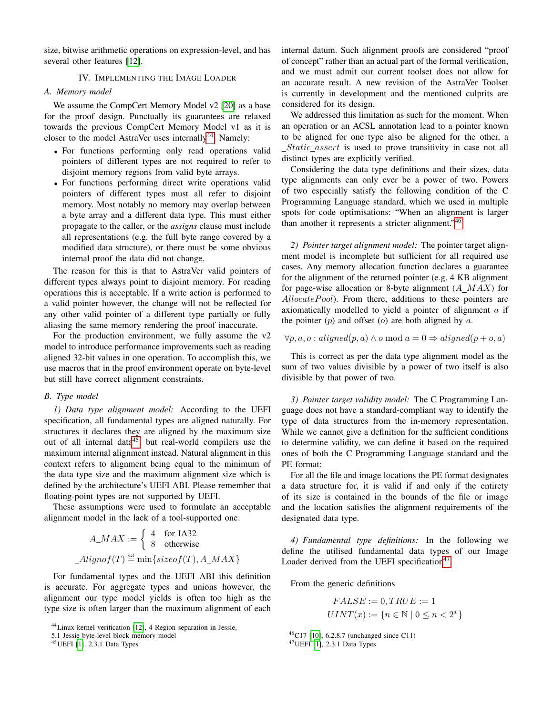size, bitwise arithmetic operations on expression-level, and has several other features [\[12\]](#page-9-11).

#### IV. IMPLEMENTING THE IMAGE LOADER

#### <span id="page-5-0"></span>*A. Memory model*

We assume the CompCert Memory Model v2 [\[20\]](#page-9-19) as a base for the proof design. Punctually its guarantees are relaxed towards the previous CompCert Memory Model v1 as it is closer to the model AstraVer uses internally $44$ . Namely:

- For functions performing only read operations valid pointers of different types are not required to refer to disjoint memory regions from valid byte arrays.
- For functions performing direct write operations valid pointers of different types must all refer to disjoint memory. Most notably no memory may overlap between a byte array and a different data type. This must either propagate to the caller, or the *assigns* clause must include all representations (e.g. the full byte range covered by a modified data structure), or there must be some obvious internal proof the data did not change.

The reason for this is that to AstraVer valid pointers of different types always point to disjoint memory. For reading operations this is acceptable. If a write action is performed to a valid pointer however, the change will not be reflected for any other valid pointer of a different type partially or fully aliasing the same memory rendering the proof inaccurate.

For the production environment, we fully assume the  $v2$ model to introduce performance improvements such as reading aligned 32-bit values in one operation. To accomplish this, we use macros that in the proof environment operate on byte-level but still have correct alignment constraints.

#### *B. Type model*

*1) Data type alignment model:* According to the UEFI specification, all fundamental types are aligned naturally. For structures it declares they are aligned by the maximum size out of all internal data<sup>[45](#page-5-2)</sup>, but real-world compilers use the maximum internal alignment instead. Natural alignment in this context refers to alignment being equal to the minimum of the data type size and the maximum alignment size which is defined by the architecture's UEFI ABI. Please remember that floating-point types are not supported by UEFI.

These assumptions were used to formulate an acceptable alignment model in the lack of a tool-supported one:

$$
A\_MAX := \begin{cases} 4 & \text{for IA32} \\ 8 & \text{otherwise} \end{cases}
$$

$$
\_Alignof(T) \stackrel{\text{def}}{=} \min\{size(f(T), A\_MAX\}
$$

For fundamental types and the UEFI ABI this definition is accurate. For aggregate types and unions however, the alignment our type model yields is often too high as the type size is often larger than the maximum alignment of each internal datum. Such alignment proofs are considered "proof of concept" rather than an actual part of the formal verification, and we must admit our current toolset does not allow for an accurate result. A new revision of the AstraVer Toolset is currently in development and the mentioned culprits are considered for its design.

We addressed this limitation as such for the moment. When an operation or an ACSL annotation lead to a pointer known to be aligned for one type also be aligned for the other, a Static assert is used to prove transitivity in case not all distinct types are explicitly verified.

Considering the data type definitions and their sizes, data type alignments can only ever be a power of two. Powers of two especially satisfy the following condition of the C Programming Language standard, which we used in multiple spots for code optimisations: "When an alignment is larger than another it represents a stricter alignment."<sup>[46](#page-5-3)</sup>

*2) Pointer target alignment model:* The pointer target alignment model is incomplete but sufficient for all required use cases. Any memory allocation function declares a guarantee for the alignment of the returned pointer (e.g. 4 KB alignment for page-wise allocation or 8-byte alignment  $(A$   $MAX)$  for  $\textit{AllocatePool}$ ). From there, additions to these pointers are axiomatically modelled to yield a pointer of alignment a if the pointer  $(p)$  and offset  $(o)$  are both aligned by a.

 $\forall p, a, o: aligned(p, a) \land o \mod a = 0 \Rightarrow aligned(p + o, a)$ 

This is correct as per the data type alignment model as the sum of two values divisible by a power of two itself is also divisible by that power of two.

*3) Pointer target validity model:* The C Programming Language does not have a standard-compliant way to identify the type of data structures from the in-memory representation. While we cannot give a definition for the sufficient conditions to determine validity, we can define it based on the required ones of both the C Programming Language standard and the PE format:

For all the file and image locations the PE format designates a data structure for, it is valid if and only if the entirety of its size is contained in the bounds of the file or image and the location satisfies the alignment requirements of the designated data type.

*4) Fundamental type definitions:* In the following we define the utilised fundamental data types of our Image Loader derived from the UEFI specification<sup>[47](#page-5-4)</sup>.

From the generic definitions

$$
FALSE := 0, TRUE := 1
$$

$$
UINT(x) := \{ n \in \mathbb{N} \mid 0 \le n < 2^x \}
$$

<span id="page-5-4"></span><span id="page-5-3"></span><sup>46</sup>C17 [\[10\]](#page-9-9), 6.2.8.7 (unchanged since C11) <sup>47</sup>UEFI [\[1\]](#page-9-0), 2.3.1 Data Types

<span id="page-5-1"></span><sup>44</sup>Linux kernel verification [\[12\]](#page-9-11), 4 Region separation in Jessie,

<sup>5.1</sup> Jessie byte-level block memory model

<span id="page-5-2"></span><sup>45</sup>UEFI [\[1\]](#page-9-0), 2.3.1 Data Types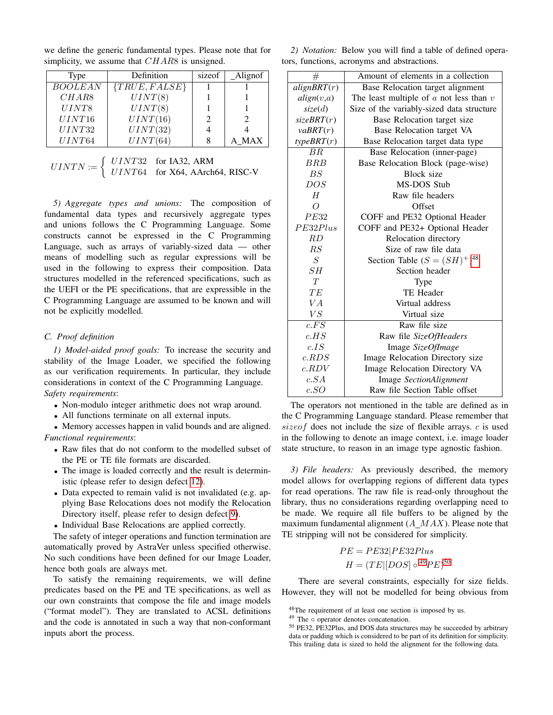| <b>Type</b> | Definition        | sizeof | Alignof    |
|-------------|-------------------|--------|------------|
| BOOLEAN     | $\{TRUE, FALSE\}$ |        |            |
| CHAR8       | UINT(8)           |        |            |
| UINT8       | UINT(8)           |        |            |
| UINT16      | UINT(16)          |        |            |
| UINT32      | UINT(32)          |        |            |
| UINT64      | UINT(64)          |        | <b>MAX</b> |

we define the generic fundamental types. Please note that for simplicity, we assume that CHAR8 is unsigned.

| $UINTN := \begin{cases} \text{ } UINT32 \text{ } & \text{for IA32, ARM} \\ \text{ } UINT64 \text{ } & \text{for X64, AArch64, RISC-V} \end{cases}$ |  |
|----------------------------------------------------------------------------------------------------------------------------------------------------|--|
|                                                                                                                                                    |  |

*5) Aggregate types and unions:* The composition of fundamental data types and recursively aggregate types and unions follows the C Programming Language. Some constructs cannot be expressed in the C Programming Language, such as arrays of variably-sized data — other means of modelling such as regular expressions will be used in the following to express their composition. Data structures modelled in the referenced specifications, such as the UEFI or the PE specifications, that are expressible in the C Programming Language are assumed to be known and will not be explicitly modelled.

#### <span id="page-6-0"></span>*C. Proof definition*

*1) Model-aided proof goals:* To increase the security and stability of the Image Loader, we specified the following as our verification requirements. In particular, they include considerations in context of the C Programming Language. *Safety requirements*:

- Non-modulo integer arithmetic does not wrap around.
- All functions terminate on all external inputs.

• Memory accesses happen in valid bounds and are aligned. *Functional requirements*:

- Raw files that do not conform to the modelled subset of the PE or TE file formats are discarded.
- The image is loaded correctly and the result is deterministic (please refer to design defect [12\)](#page-2-15).
- Data expected to remain valid is not invalidated (e.g. applying Base Relocations does not modify the Relocation Directory itself, please refer to design defect [9\)](#page-2-16).
- Individual Base Relocations are applied correctly.

The safety of integer operations and function termination are automatically proved by AstraVer unless specified otherwise. No such conditions have been defined for our Image Loader, hence both goals are always met.

To satisfy the remaining requirements, we will define predicates based on the PE and TE specifications, as well as our own constraints that compose the file and image models ("format model"). They are translated to ACSL definitions and the code is annotated in such a way that non-conformant inputs abort the process.

*2) Notation:* Below you will find a table of defined operators, functions, acronyms and abstractions.

| $^{\#}$           | Amount of elements in a collection          |  |
|-------------------|---------------------------------------------|--|
| alignBRT(r)       | Base Relocation target alignment            |  |
| align(v,a)        | The least multiple of $a$ not less than $v$ |  |
| size(d)           | Size of the variably-sized data structure   |  |
| sizeBRT(r)        | Base Relocation target size                 |  |
| $v$ aBRT $(r)$    | Base Relocation target VA                   |  |
| typeBRT(r)        | Base Relocation target data type            |  |
| BR.               | Base Relocation (inner-page)                |  |
| BRB               | Base Relocation Block (page-wise)           |  |
| BS                | Block size                                  |  |
| DOS               | <b>MS-DOS Stub</b>                          |  |
| H                 | Raw file headers                            |  |
| $\overline{O}$    | Offset                                      |  |
| PE32              | COFF and PE32 Optional Header               |  |
| PE32Plus          | COFF and PE32+ Optional Header              |  |
| RD                | Relocation directory                        |  |
| RS                | Size of raw file data                       |  |
| S                 | Section Table $(S = (SH)^+)^{48}$           |  |
| SH                | Section header                              |  |
| T                 | Type                                        |  |
| TE                | <b>TE Header</b>                            |  |
| VA                | Virtual address                             |  |
| VS                | Virtual size                                |  |
| $\overline{c.FS}$ | Raw file size                               |  |
| c.HS              | Raw file SizeOfHeaders                      |  |
| c. IS             | Image SizeOfImage                           |  |
| c.RDS             | Image Relocation Directory size             |  |
| c.RDV             | Image Relocation Directory VA               |  |
| c.SA              | <b>Image SectionAlignment</b>               |  |
| c. SO             | Raw file Section Table offset               |  |

The operators not mentioned in the table are defined as in the C Programming Language standard. Please remember that sizeof does not include the size of flexible arrays. c is used in the following to denote an image context, i.e. image loader state structure, to reason in an image type agnostic fashion.

<span id="page-6-2"></span>*3) File headers:* As previously described, the memory model allows for overlapping regions of different data types for read operations. The raw file is read-only throughout the library, thus no considerations regarding overlapping need to be made. We require all file buffers to be aligned by the maximum fundamental alignment  $(A \, MAX)$ . Please note that TE stripping will not be considered for simplicity.

$$
PE = PE32|PE32Plus
$$

$$
H = (TE|[DOS] \circ {}^{49}PE)^{50}
$$

There are several constraints, especially for size fields. However, they will not be modelled for being obvious from

<span id="page-6-1"></span><sup>48</sup>The requirement of at least one section is imposed by us.

<sup>&</sup>lt;sup>49</sup> The ∘ operator denotes concatenation.

<sup>50</sup> PE32, PE32Plus, and DOS data structures may be succeeded by arbitrary data or padding which is considered to be part of its definition for simplicity. This trailing data is sized to hold the alignment for the following data.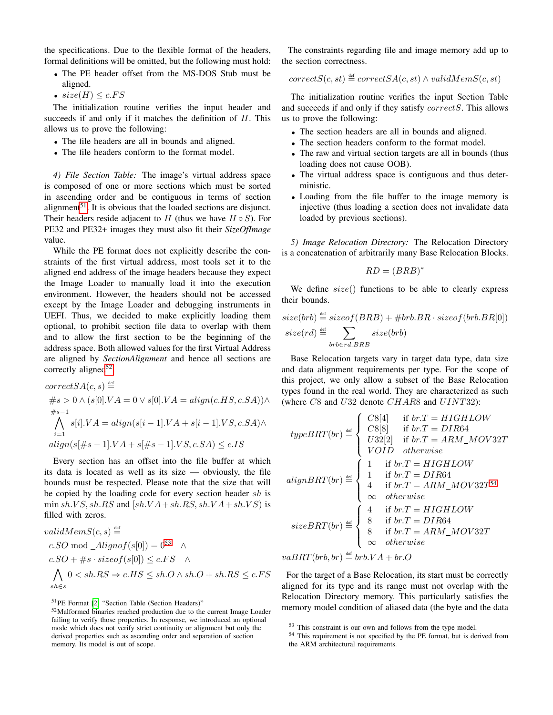the specifications. Due to the flexible format of the headers, formal definitions will be omitted, but the following must hold:

- The PE header offset from the MS-DOS Stub must be aligned.
- $size(H) \leq c.FS$

The initialization routine verifies the input header and succeeds if and only if it matches the definition of  $H$ . This allows us to prove the following:

- The file headers are all in bounds and aligned.
- The file headers conform to the format model.

*4) File Section Table:* The image's virtual address space is composed of one or more sections which must be sorted in ascending order and be contiguous in terms of section alignment<sup>[51](#page-7-0)</sup>. It is obvious that the loaded sections are disjunct. Their headers reside adjacent to  $H$  (thus we have  $H \circ S$ ). For PE32 and PE32+ images they must also fit their *SizeOfImage* value.

While the PE format does not explicitly describe the constraints of the first virtual address, most tools set it to the aligned end address of the image headers because they expect the Image Loader to manually load it into the execution environment. However, the headers should not be accessed except by the Image Loader and debugging instruments in UEFI. Thus, we decided to make explicitly loading them optional, to prohibit section file data to overlap with them and to allow the first section to be the beginning of the address space. Both allowed values for the first Virtual Address are aligned by *SectionAlignment* and hence all sections are correctly aligned<sup>[52](#page-7-1)</sup>.

$$
correctSA(c, s) \stackrel{\text{def}}{=} \n\#s > 0 \land (s[0].VA = 0 \lor s[0].VA = align(c.H.S, c.SA)) \land \n\text{#s-1} \n\bigwedge_{i=1}^{4s-1} s[i].VA = align(s[i-1].VA + s[i-1].VS, c.SA) \land \nalign(s[#s-1].VA + s[#s-1].VS, c.SA) \le c.IS
$$

Every section has an offset into the file buffer at which its data is located as well as its size — obviously, the file bounds must be respected. Please note that the size that will be copied by the loading code for every section header sh is  $\min sh.VS, sh.RS$  and  $[sh.VA + sh.RS, sh.VA + sh.VS]$  is filled with zeros.

$$
validMemS(c, s) \stackrel{\text{def}}{=} \\ c.SO \mod \_A lignof(s[0]) = 0^{53} \quad \land \\ c.SO + \#s \cdot sizeof(s[0]) \le c.FS \quad \land \\ \bigwedge_{sh \in S} 0 < sh.RS \Rightarrow c.HS \le sh.O \land sh.O + sh.RS \le c.FS
$$

<span id="page-7-0"></span><sup>51</sup>PE Format [\[2\]](#page-9-1) "Section Table (Section Headers)"

The constraints regarding file and image memory add up to the section correctness.

$$
correctS(c, st) \stackrel{\text{def}}{=} correctSA(c, st) \land validMemS(c, st)
$$

The initialization routine verifies the input Section Table and succeeds if and only if they satisfy correctS. This allows us to prove the following:

- The section headers are all in bounds and aligned.
- The section headers conform to the format model.
- The raw and virtual section targets are all in bounds (thus loading does not cause OOB).
- The virtual address space is contiguous and thus deterministic.
- Loading from the file buffer to the image memory is injective (thus loading a section does not invalidate data loaded by previous sections).

<span id="page-7-2"></span>*5) Image Relocation Directory:* The Relocation Directory is a concatenation of arbitrarily many Base Relocation Blocks.

$$
RD = (BRB)^*
$$

We define  $size()$  functions to be able to clearly express their bounds.

$$
size(brb) \stackrel{\text{def}}{=} sizeof(BRB) + \#brb.BR \cdot sizeof(brb.BR[0])
$$
  

$$
size(rd) \stackrel{\text{def}}{=} \sum_{brb \in rd.BRB} size(brb)
$$

Base Relocation targets vary in target data type, data size and data alignment requirements per type. For the scope of this project, we only allow a subset of the Base Relocation types found in the real world. They are characterized as such (where  $C8$  and  $U32$  denote  $CHAR8$  and  $UINT32$ ):

 $\mathbf{z}$  and  $\mathbf{z}$ 

$$
typeBRT(br) \stackrel{\text{def}}{=} \begin{cases} C8[4] & \text{if } br.T = HIGHLOW \\ C8[8] & \text{if } br.T = DIR64 \\ U32[2] & \text{if } br.T = ARM\_MOV32T \\ VOLD \quad otherwise \end{cases}
$$
\n
$$
alignBRT(br) \stackrel{\text{def}}{=} \begin{cases} 1 & \text{if } br.T = HIGHLOW \\ 1 & \text{if } br.T = DIR64 \\ 4 & \text{if } br.T = ARM\_MOV32T^{54} \\ \infty & otherwise \end{cases}
$$
\n
$$
sizeBRT(br) \stackrel{\text{def}}{=} \begin{cases} 4 & \text{if } br.T = HIGHLOW \\ 8 & \text{if } br.T = HIGHLOW \\ 8 & \text{if } br.T = DIR64 \\ \infty & otherwise \end{cases}
$$
\n
$$
sizeBRT(br) \stackrel{\text{def}}{=} \begin{cases} 4 & \text{if } br.T = HIGHLOW \\ 8 & \text{if } br.T = DRR64 \\ \infty & otherwise \end{cases}
$$

 $vaBRT(brb, br) \stackrel{\text{def}}{=} brb. VA + br. O$ 

For the target of a Base Relocation, its start must be correctly aligned for its type and its range must not overlap with the Relocation Directory memory. This particularly satisfies the memory model condition of aliased data (the byte and the data

<span id="page-7-1"></span><sup>52</sup>Malformed binaries reached production due to the current Image Loader failing to verify those properties. In response, we introduced an optional mode which does not verify strict continuity or alignment but only the derived properties such as ascending order and separation of section memory. Its model is out of scope.

<sup>53</sup> This constraint is our own and follows from the type model.

<sup>54</sup> This requirement is not specified by the PE format, but is derived from the ARM architectural requirements.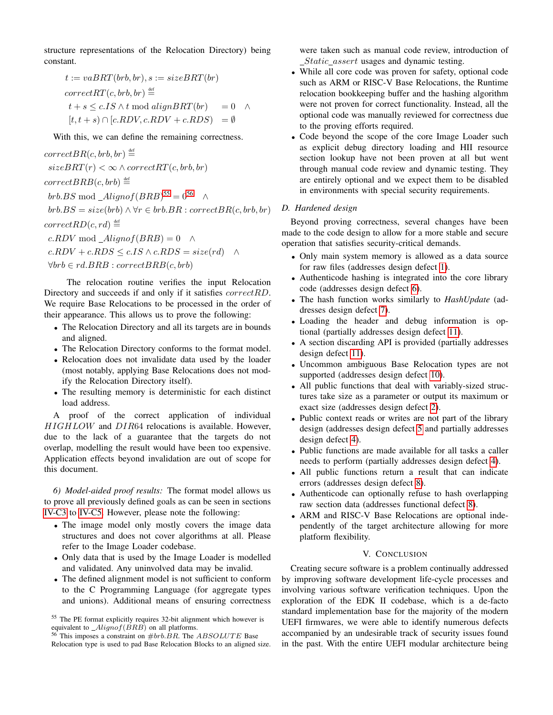structure representations of the Relocation Directory) being constant.

$$
t := vaBRT(brb, br), s := sizeBRT(br)
$$
  
correct $RT(c, brb, br) \stackrel{\text{def}}{=}$   

$$
t + s \le c. IS \wedge t \mod alignBRT(br) = 0 \wedge
$$
  

$$
[t, t + s) \cap [c.RDV, c.RDV + c.RDS] = \emptyset
$$

With this, we can define the remaining correctness.

 $correctBR(c, brb, br) \stackrel{\text{def}}{=}$  $sizeBRT(r) < \infty \land correctRT(c, brb, br)$  $correctBRB(c, brb) \stackrel{\text{def}}{=}$ brb.BS mod \_ $Alignof(BRB)^{55} = 0^{56}$  $Alignof(BRB)^{55} = 0^{56}$  $Alignof(BRB)^{55} = 0^{56}$  $Alignof(BRB)^{55} = 0^{56}$  $Alignof(BRB)^{55} = 0^{56}$  ∧  $brb.BS = size(brb) \land \forall r \in brb.BR : correctBR(c, brb, br)$  $correctRD(c, rd) \stackrel{\text{def}}{=}$  $c.RDV \mod \_A lignof(BRB) = 0 \quad \wedge$  $c.RDV + c.RDS \leq c.IS \wedge c.RDS = size(rd)$  ∧  $\forall brb \in rd.BRB : correctBRB(c, brb)$ 

The relocation routine verifies the input Relocation Directory and succeeds if and only if it satisfies *correctRD*. We require Base Relocations to be processed in the order of their appearance. This allows us to prove the following:

- The Relocation Directory and all its targets are in bounds and aligned.
- The Relocation Directory conforms to the format model.
- Relocation does not invalidate data used by the loader (most notably, applying Base Relocations does not modify the Relocation Directory itself).
- The resulting memory is deterministic for each distinct load address.

A proof of the correct application of individual HIGHLOW and DIR64 relocations is available. However, due to the lack of a guarantee that the targets do not overlap, modelling the result would have been too expensive. Application effects beyond invalidation are out of scope for this document.

*6) Model-aided proof results:* The format model allows us to prove all previously defined goals as can be seen in sections [IV-C3](#page-6-2) to [IV-C5.](#page-7-2) However, please note the following:

- The image model only mostly covers the image data structures and does not cover algorithms at all. Please refer to the Image Loader codebase.
- Only data that is used by the Image Loader is modelled and validated. Any uninvolved data may be invalid.
- The defined alignment model is not sufficient to conform to the C Programming Language (for aggregate types and unions). Additional means of ensuring correctness

<sup>56</sup> This imposes a constraint on  $#brb.BR$ . The  $ABSOLUTE$  Base Relocation type is used to pad Base Relocation Blocks to an aligned size. were taken such as manual code review, introduction of Static assert usages and dynamic testing.

- While all core code was proven for safety, optional code such as ARM or RISC-V Base Relocations, the Runtime relocation bookkeeping buffer and the hashing algorithm were not proven for correct functionality. Instead, all the optional code was manually reviewed for correctness due to the proving efforts required.
- Code beyond the scope of the core Image Loader such as explicit debug directory loading and HII resource section lookup have not been proven at all but went through manual code review and dynamic testing. They are entirely optional and we expect them to be disabled in environments with special security requirements.

#### <span id="page-8-0"></span>*D. Hardened design*

Beyond proving correctness, several changes have been made to the code design to allow for a more stable and secure operation that satisfies security-critical demands.

- Only main system memory is allowed as a data source for raw files (addresses design defect [1\)](#page-1-15).
- Authenticode hashing is integrated into the core library code (addresses design defect [6\)](#page-1-16).
- The hash function works similarly to *HashUpdate* (addresses design defect [7\)](#page-2-17).
- Loading the header and debug information is optional (partially addresses design defect [11\)](#page-2-18).
- A section discarding API is provided (partially addresses design defect [11\)](#page-2-18).
- Uncommon ambiguous Base Relocation types are not supported (addresses design defect [10\)](#page-2-19).
- All public functions that deal with variably-sized structures take size as a parameter or output its maximum or exact size (addresses design defect [2\)](#page-1-6).
- Public context reads or writes are not part of the library design (addresses design defect [5](#page-1-17) and partially addresses design defect [4\)](#page-1-18).
- Public functions are made available for all tasks a caller needs to perform (partially addresses design defect [4\)](#page-1-18).
- All public functions return a result that can indicate errors (addresses design defect [8\)](#page-2-20).
- Authenticode can optionally refuse to hash overlapping raw section data (addresses functional defect [8\)](#page-3-12).
- ARM and RISC-V Base Relocations are optional independently of the target architecture allowing for more platform flexibility.

#### V. CONCLUSION

Creating secure software is a problem continually addressed by improving software development life-cycle processes and involving various software verification techniques. Upon the exploration of the EDK II codebase, which is a de-facto standard implementation base for the majority of the modern UEFI firmwares, we were able to identify numerous defects accompanied by an undesirable track of security issues found in the past. With the entire UEFI modular architecture being

<sup>55</sup> The PE format explicitly requires 32-bit alignment which however is equivalent to  $\angle{Alignof(BRB)}$  on all platforms.